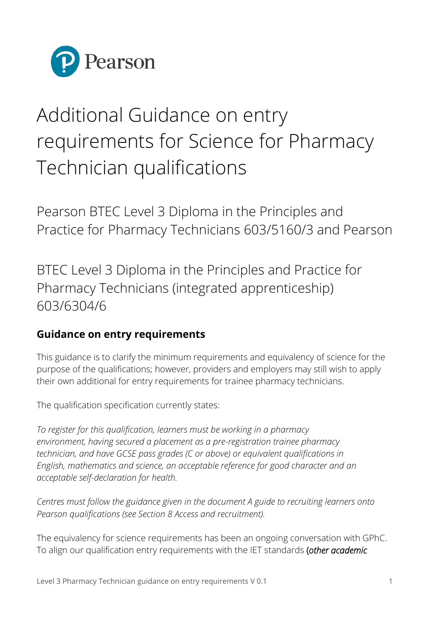

## Additional Guidance on entry requirements for Science for Pharmacy Technician qualifications

Pearson BTEC Level 3 Diploma in the Principles and Practice for Pharmacy Technicians 603/5160/3 and Pearson

BTEC Level 3 Diploma in the Principles and Practice for Pharmacy Technicians (integrated apprenticeship) 603/6304/6

## **Guidance on entry requirements**

This guidance is to clarify the minimum requirements and equivalency of science for the purpose of the qualifications; however, providers and employers may still wish to apply their own additional for entry requirements for trainee pharmacy technicians.

The qualification specification currently states:

*To register for this qualification, learners must be working in a pharmacy environment, having secured a placement as a pre-registration trainee pharmacy technician, and have GCSE pass grades (C or above) or equivalent qualifications in English, mathematics and science, an acceptable reference for good character and an acceptable self-declaration for health.*

*Centres must follow the guidance given in the document A guide to recruiting learners onto Pearson qualifications (see Section 8 Access and recruitment).* 

The equivalency for science requirements has been an ongoing conversation with GPhC. To align our qualification entry requirements with the IET standards (*other academic*